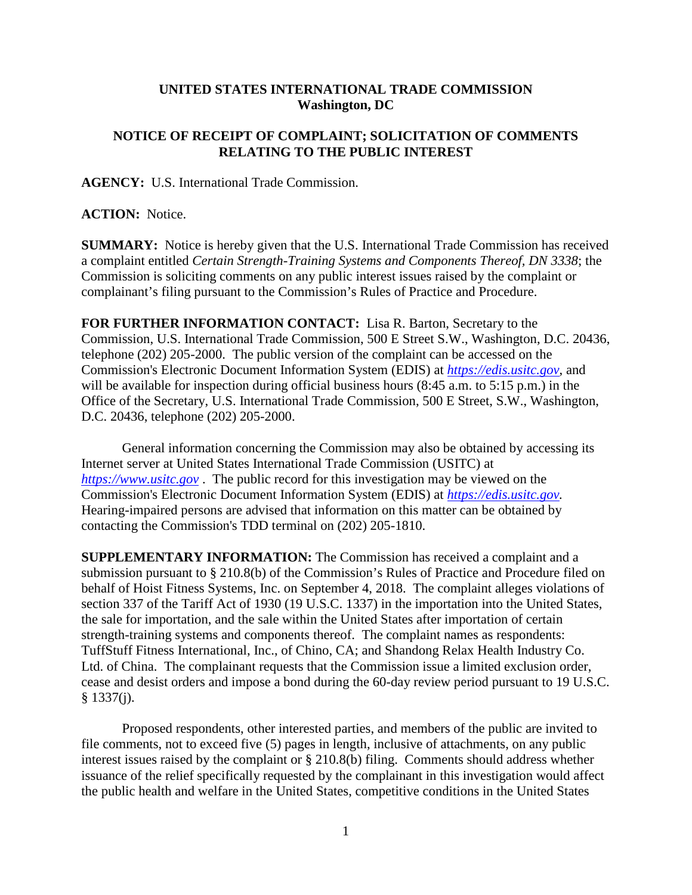## **UNITED STATES INTERNATIONAL TRADE COMMISSION Washington, DC**

## **NOTICE OF RECEIPT OF COMPLAINT; SOLICITATION OF COMMENTS RELATING TO THE PUBLIC INTEREST**

**AGENCY:** U.S. International Trade Commission.

## **ACTION:** Notice.

**SUMMARY:** Notice is hereby given that the U.S. International Trade Commission has received a complaint entitled *Certain Strength-Training Systems and Components Thereof, DN 3338*; the Commission is soliciting comments on any public interest issues raised by the complaint or complainant's filing pursuant to the Commission's Rules of Practice and Procedure.

**FOR FURTHER INFORMATION CONTACT:** Lisa R. Barton, Secretary to the Commission, U.S. International Trade Commission, 500 E Street S.W., Washington, D.C. 20436, telephone (202) 205-2000. The public version of the complaint can be accessed on the Commission's Electronic Document Information System (EDIS) at *[https://edis.usitc.gov](https://edis.usitc.gov/)*, and will be available for inspection during official business hours (8:45 a.m. to 5:15 p.m.) in the Office of the Secretary, U.S. International Trade Commission, 500 E Street, S.W., Washington, D.C. 20436, telephone (202) 205-2000.

General information concerning the Commission may also be obtained by accessing its Internet server at United States International Trade Commission (USITC) at *[https://www.usitc.gov](https://www.usitc.gov/)* . The public record for this investigation may be viewed on the Commission's Electronic Document Information System (EDIS) at *[https://edis.usitc.gov.](https://edis.usitc.gov/)* Hearing-impaired persons are advised that information on this matter can be obtained by contacting the Commission's TDD terminal on (202) 205-1810.

**SUPPLEMENTARY INFORMATION:** The Commission has received a complaint and a submission pursuant to § 210.8(b) of the Commission's Rules of Practice and Procedure filed on behalf of Hoist Fitness Systems, Inc. on September 4, 2018. The complaint alleges violations of section 337 of the Tariff Act of 1930 (19 U.S.C. 1337) in the importation into the United States, the sale for importation, and the sale within the United States after importation of certain strength-training systems and components thereof. The complaint names as respondents: TuffStuff Fitness International, Inc., of Chino, CA; and Shandong Relax Health Industry Co. Ltd. of China. The complainant requests that the Commission issue a limited exclusion order, cease and desist orders and impose a bond during the 60-day review period pursuant to 19 U.S.C. § 1337(j).

Proposed respondents, other interested parties, and members of the public are invited to file comments, not to exceed five (5) pages in length, inclusive of attachments, on any public interest issues raised by the complaint or § 210.8(b) filing. Comments should address whether issuance of the relief specifically requested by the complainant in this investigation would affect the public health and welfare in the United States, competitive conditions in the United States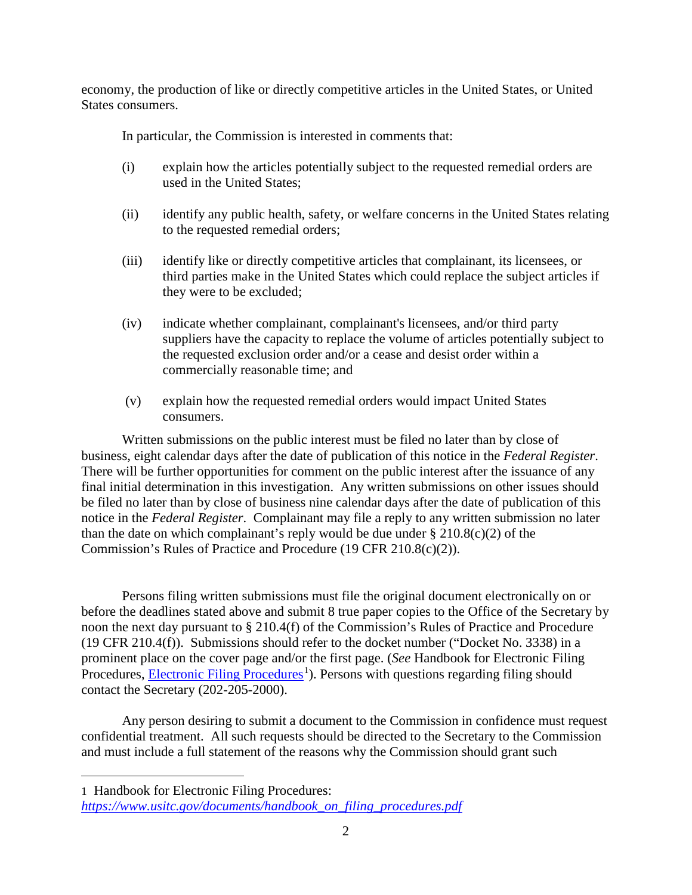economy, the production of like or directly competitive articles in the United States, or United States consumers.

In particular, the Commission is interested in comments that:

- (i) explain how the articles potentially subject to the requested remedial orders are used in the United States;
- (ii) identify any public health, safety, or welfare concerns in the United States relating to the requested remedial orders;
- (iii) identify like or directly competitive articles that complainant, its licensees, or third parties make in the United States which could replace the subject articles if they were to be excluded;
- (iv) indicate whether complainant, complainant's licensees, and/or third party suppliers have the capacity to replace the volume of articles potentially subject to the requested exclusion order and/or a cease and desist order within a commercially reasonable time; and
- (v) explain how the requested remedial orders would impact United States consumers.

Written submissions on the public interest must be filed no later than by close of business, eight calendar days after the date of publication of this notice in the *Federal Register*. There will be further opportunities for comment on the public interest after the issuance of any final initial determination in this investigation. Any written submissions on other issues should be filed no later than by close of business nine calendar days after the date of publication of this notice in the *Federal Register*. Complainant may file a reply to any written submission no later than the date on which complainant's reply would be due under  $\S 210.8(c)(2)$  of the Commission's Rules of Practice and Procedure (19 CFR 210.8(c)(2)).

Persons filing written submissions must file the original document electronically on or before the deadlines stated above and submit 8 true paper copies to the Office of the Secretary by noon the next day pursuant to § 210.4(f) of the Commission's Rules of Practice and Procedure (19 CFR 210.4(f)). Submissions should refer to the docket number ("Docket No. 3338) in a prominent place on the cover page and/or the first page. (*See* Handbook for Electronic Filing Procedures, **Electronic Filing Procedures**<sup>[1](#page-1-0)</sup>). Persons with questions regarding filing should contact the Secretary (202-205-2000).

Any person desiring to submit a document to the Commission in confidence must request confidential treatment. All such requests should be directed to the Secretary to the Commission and must include a full statement of the reasons why the Commission should grant such

<span id="page-1-0"></span>1 Handbook for Electronic Filing Procedures:

 $\overline{a}$ 

*[https://www.usitc.gov/documents/handbook\\_on\\_filing\\_procedures.pdf](https://www.usitc.gov/documents/handbook_on_filing_procedures.pdf)*